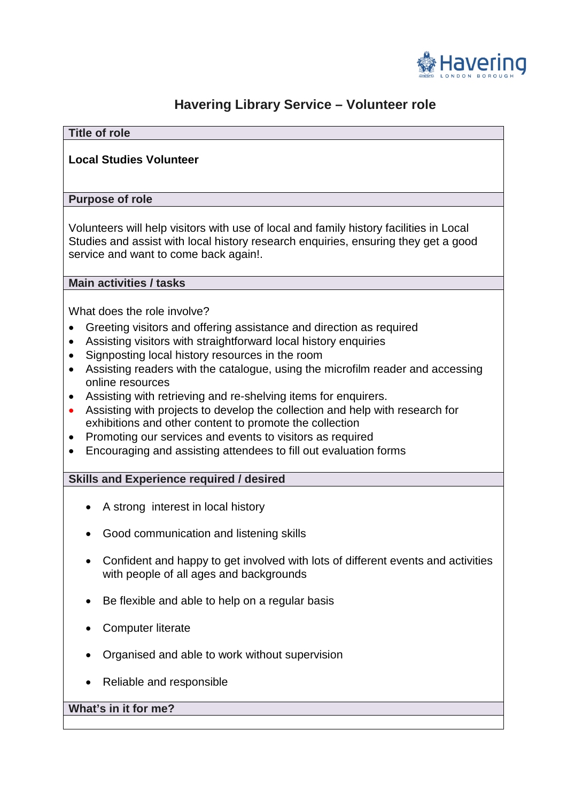

# **Havering Library Service – Volunteer role**

# • Assisting visitors with straightforward local history enquiries • Assisting with retrieving and re-shelving items for enquirers. • Promoting our services and events to visitors as required • Encouraging and assisting attendees to fill out evaluation forms • Be flexible and able to help on a regular basis • Organised and able to work without supervision **Title of role Local Studies Volunteer Purpose of role**  Volunteers will help visitors with use of local and family history facilities in Local Studies and assist with local history research enquiries, ensuring they get a good service and want to come back again!. **Main activities / tasks**  What does the role involve? • Greeting visitors and offering assistance and direction as required • Signposting local history resources in the room • Assisting readers with the catalogue, using the microfilm reader and accessing online resources • Assisting with projects to develop the collection and help with research for exhibitions and other content to promote the collection **Skills and Experience required / desired**  • A strong interest in local history • Good communication and listening skills • Confident and happy to get involved with lots of different events and activities with people of all ages and backgrounds • Computer literate

• Reliable and responsible

# **What's in it for me?**